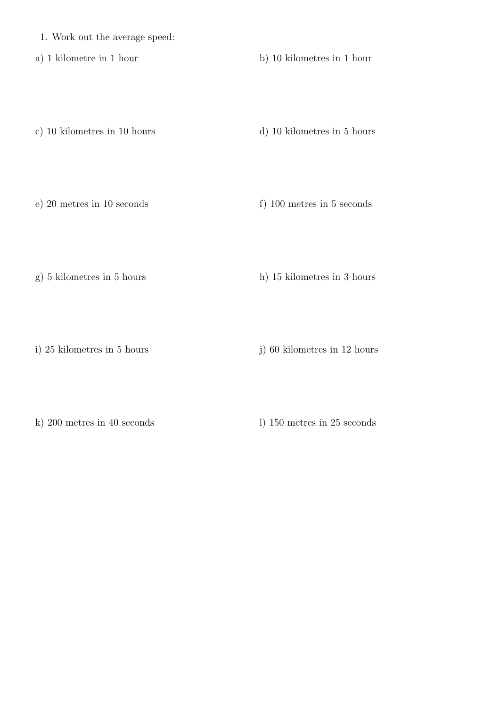- 1. Work out the average speed:
- 

a) 1 kilometre in 1 hour b) 10 kilometres in 1 hour

c) 10 kilometres in 10 hours d) 10 kilometres in 5 hours

e) 20 metres in 10 seconds f) 100 metres in 5 seconds

g) 5 kilometres in 5 hours h) 15 kilometres in 3 hours

i) 25 kilometres in 5 hours j) 60 kilometres in 12 hours

k) 200 metres in 40 seconds l) 150 metres in 25 seconds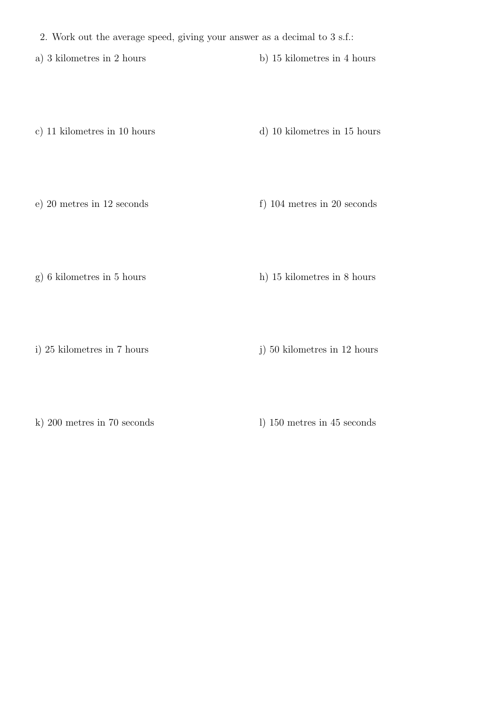- 2. Work out the average speed, giving your answer as a decimal to 3 s.f.:
- a) 3 kilometres in 2 hours b) 15 kilometres in 4 hours
- c) 11 kilometres in 10 hours d) 10 kilometres in 15 hours

- 
- e) 20 metres in 12 seconds f) 104 metres in 20 seconds
- 
- g) 6 kilometres in 5 hours h) 15 kilometres in 8 hours
- 
- i) 25 kilometres in 7 hours j) 50 kilometres in 12 hours
- 
- k) 200 metres in 70 seconds l) 150 metres in 45 seconds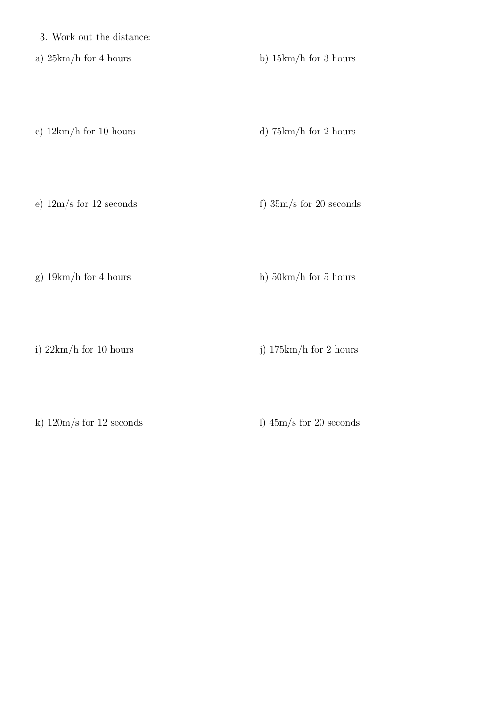3. Work out the distance:

a)  $25km/h$  for 4 hours b)  $15km/h$  for 3 hours

c)  $12km/h$  for 10 hours d)  $75km/h$  for 2 hours

e)  $12m/s$  for 12 seconds f)  $35m/s$  for 20 seconds

g)  $19km/h$  for 4 hours h)  $50km/h$  for 5 hours

i)  $22km/h$  for 10 hours j)  $175km/h$  for 2 hours

k)  $120 \text{m/s}$  for  $12$  seconds l)  $45 \text{m/s}$  for  $20$  seconds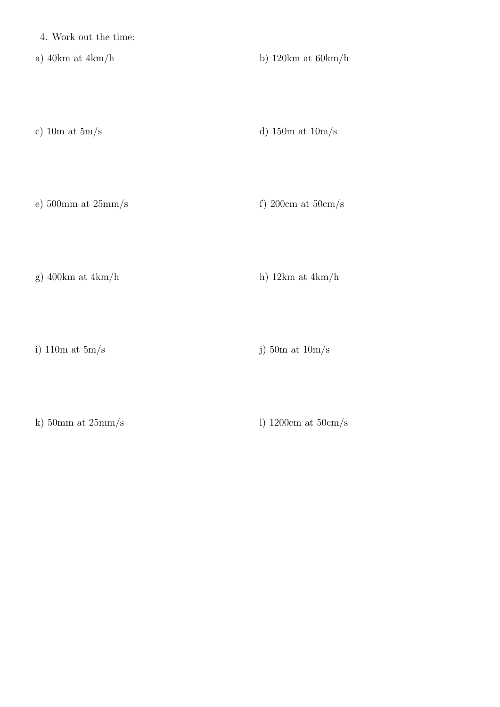4. Work out the time:

a) 40km at 4km/h b) 120km at 60km/h

c) 10m at  $5\text{m/s}$  d) 150m at  $10\text{m/s}$ 

e)  $500 \text{mm}$  at  $25 \text{mm/s}$  f)  $200 \text{cm}$  at  $50 \text{cm/s}$ 

g) 400km at  $4km/h$  h) 12km at  $4km/h$ 

i) 110m at  $5m/s$  j) 50m at  $10m/s$ 

k) 50mm at  $25\text{mm/s}$  l) 1200cm at  $50\text{cm/s}$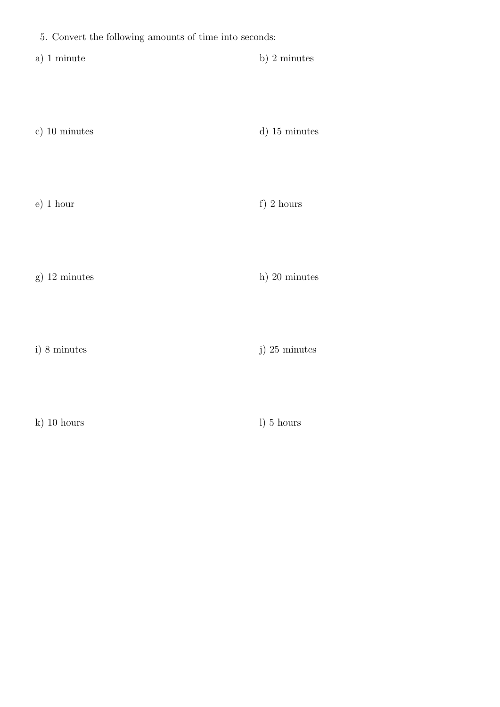|  |  |  | 5. Convert the following amounts of time into seconds: |  |  |  |  |
|--|--|--|--------------------------------------------------------|--|--|--|--|
|--|--|--|--------------------------------------------------------|--|--|--|--|

- a) 1 minute b) 2 minutes
- c) 10 minutes d) 15 minutes
- e) 1 hour f) 2 hours
- g)  $12 \text{ minutes}$  h)  $20 \text{ minutes}$
- i) 8 minutes j) 25 minutes j) 25 minutes i
- k) 10 hours l) 5 hours
	-